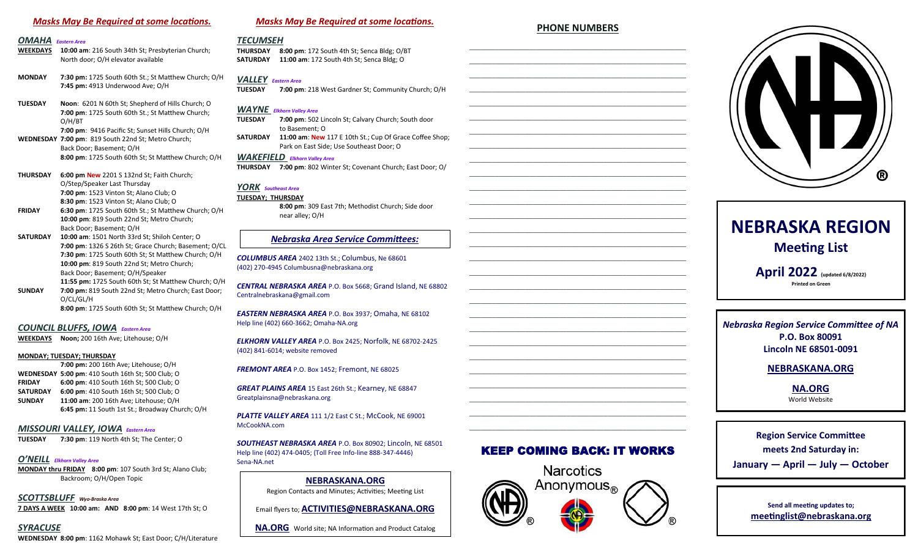# *Masks May Be Required at some locations.*

# *OMAHA Eastern Area*

- **10:00 am**: 216 South 34th St; Presbyterian Church; North door; O/H elevator available
- **MONDAY 7:30 pm:** 1725 South 60th St.; St Matthew Church; O/H **7:45 pm:** 4913 Underwood Ave; O/H
- **TUESDAY Noon**: 6201 N 60th St; Shepherd of Hills Church; O **7:00 pm**: 1725 South 60th St.; St Matthew Church; O/H/BT **7:00 pm**: 9416 Pacific St; Sunset Hills Church; O/H **WEDNESDAY 7:00 pm**: 819 South 22nd St; Metro Church; Back Door; Basement; O/H **8:00 pm**: 1725 South 60th St; St Matthew Church; O/H
- **THURSDAY 6:00 pm New** 2201 S 132nd St; Faith Church; O/Step/Speaker Last Thursday **7:00 pm**: 1523 Vinton St; Alano Club; O **8:30 pm**: 1523 Vinton St; Alano Club; O **FRIDAY 6:30 pm**: 1725 South 60th St.; St Matthew Church; O/H
- **10:00 pm**: 819 South 22nd St; Metro Church; Back Door; Basement; O/H **SATURDAY 10:00 am**: 1501 North 33rd St; Shiloh Center; O
- **7:00 pm**: 1326 S 26th St; Grace Church; Basement; O/CL **7:30 pm**: 1725 South 60th St; St Matthew Church; O/H **10:00 pm**: 819 South 22nd St; Metro Church; Back Door; Basement; O/H/Speaker **11:55 pm:** 1725 South 60th St; St Matthew Church; O/H **SUNDAY 7:00 pm:** 819 South 22nd St; Metro Church; East Door; O/CL/GL/H **8:00 pm**: 1725 South 60th St; St Matthew Church; O/H

# *COUNCIL BLUFFS, IOWA Eastern Area*

**WEEKDAYS Noon;** 200 16th Ave; Litehouse; O/H

#### **MONDAY; TUESDAY; THURSDAY**

**7:00 pm:** 200 16th Ave; Litehouse; O/H **WEDNESDAY 5:00 pm**: 410 South 16th St; 500 Club; O **FRIDAY 6:00 pm**: 410 South 16th St; 500 Club; O **SATURDAY 6:00 pm**: 410 South 16th St; 500 Club; O **SUNDAY 11:00 am**: 200 16th Ave; Litehouse; O/H **6:45 pm:** 11 South 1st St.; Broadway Church; O/H

# *MISSOURI VALLEY, IOWA Eastern Area*

**7:30 pm**: 119 North 4th St; The Center; O

# *O'NEILL Elkhorn Valley Area*

**MONDAY thru FRIDAY 8:00 pm**: 107 South 3rd St; Alano Club; Backroom; O/H/Open Topic

*SCOTTSBLUFF Wyo-Braska Area* **7 DAYS A WEEK 10:00 am: AND 8:00 pm**: 14 West 17th St; O

*SYRACUSE* **WEDNESDAY 8:00 pm**: 1162 Mohawk St; East Door; C/H/Literature

# *Masks May Be Required at some locations.*

# *TECUMSEH*

**THURSDAY 8:00 pm**: 172 South 4th St; Senca Bldg; O/BT **SATURDAY 11:00 am**: 172 South 4th St; Senca Bldg; O

# *VALLEY Eastern Area*

**TUESDAY 7:00 pm**: 218 West Gardner St; Community Church; O/H

# *WAYNE Elkhorn Valley Area*

- **TUESDAY 7:00 pm**: 502 Lincoln St; Calvary Church; South door to Basement; O **SATURDAY 11:00 am**: **New** 117 E 10th St.; Cup Of Grace Coffee Shop;
- Park on East Side; Use Southeast Door; O

# *WAKEFIELD Elkhorn Valley Area*

**THURSDAY 7:00 pm**: 802 Winter St; Covenant Church; East Door; O/

# *YORK Southeast Area*

**TUESDAY; THURSDAY 8:00 pm**: 309 East 7th; Methodist Church; Side door near alley; O/H

# *Nebraska Area Service Committees:*

*COLUMBUS AREA* 2402 13th St.; Columbus, Ne 68601 (402) 270-4945 Columbusna@nebraskana.org

*CENTRAL NEBRASKA AREA* P.O. Box 5668; Grand Island, NE 68802 Centralnebraskana@gmail.com

*EASTERN NEBRASKA AREA* P.O. Box 3937; Omaha, NE 68102 Help line (402) 660-3662; Omaha-NA.org

*ELKHORN VALLEY AREA* P.O. Box 2425; Norfolk, NE 68702-2425 (402) 841-6014; website removed

*FREMONT AREA* P.O. Box 1452; Fremont, NE 68025

*GREAT PLAINS AREA* 15 East 26th St.; Kearney, NE 68847 Greatplainsna@nebraskana.org

*PLATTE VALLEY AREA* 111 1/2 East C St.; McCook, NE 69001 McCookNA.com

*SOUTHEAST NEBRASKA AREA* P.O. Box 80902; Lincoln, NE 68501 Help line (402) 474-0405; (Toll Free Info-line 888-347-4446) Sena-NA.net

> **NEBRASKANA.ORG** Region Contacts and Minutes; Activities; Meeting List

Email flyers to; **ACTIVITIES@NEBRASKANA.ORG**

**NA.ORG** World site; NA Information and Product Catalog

# **PHONE NUMBERS** \_\_\_\_\_\_\_\_\_\_\_\_\_\_\_\_\_\_\_\_\_\_\_\_\_\_\_\_\_\_\_\_\_\_\_\_\_\_\_\_\_\_\_\_\_\_\_\_\_\_\_\_\_\_\_\_\_\_

\_\_\_\_\_\_\_\_\_\_\_\_\_\_\_\_\_\_\_\_\_\_\_\_\_\_\_\_\_\_\_\_\_\_\_\_\_\_\_\_\_\_\_\_\_\_\_\_\_\_\_\_\_\_\_\_\_\_ \_\_\_\_\_\_\_\_\_\_\_\_\_\_\_\_\_\_\_\_\_\_\_\_\_\_\_\_\_\_\_\_\_\_\_\_\_\_\_\_\_\_\_\_\_\_\_\_\_\_\_\_\_\_\_\_\_\_ \_\_\_\_\_\_\_\_\_\_\_\_\_\_\_\_\_\_\_\_\_\_\_\_\_\_\_\_\_\_\_\_\_\_\_\_\_\_\_\_\_\_\_\_\_\_\_\_\_\_\_\_\_\_\_\_\_\_ \_\_\_\_\_\_\_\_\_\_\_\_\_\_\_\_\_\_\_\_\_\_\_\_\_\_\_\_\_\_\_\_\_\_\_\_\_\_\_\_\_\_\_\_\_\_\_\_\_\_\_\_\_\_\_\_\_\_ \_\_\_\_\_\_\_\_\_\_\_\_\_\_\_\_\_\_\_\_\_\_\_\_\_\_\_\_\_\_\_\_\_\_\_\_\_\_\_\_\_\_\_\_\_\_\_\_\_\_\_\_\_\_\_\_\_\_ \_\_\_\_\_\_\_\_\_\_\_\_\_\_\_\_\_\_\_\_\_\_\_\_\_\_\_\_\_\_\_\_\_\_\_\_\_\_\_\_\_\_\_\_\_\_\_\_\_\_\_\_\_\_\_\_\_\_ \_\_\_\_\_\_\_\_\_\_\_\_\_\_\_\_\_\_\_\_\_\_\_\_\_\_\_\_\_\_\_\_\_\_\_\_\_\_\_\_\_\_\_\_\_\_\_\_\_\_\_\_\_\_\_\_\_\_ \_\_\_\_\_\_\_\_\_\_\_\_\_\_\_\_\_\_\_\_\_\_\_\_\_\_\_\_\_\_\_\_\_\_\_\_\_\_\_\_\_\_\_\_\_\_\_\_\_\_\_\_\_\_\_\_\_\_ \_\_\_\_\_\_\_\_\_\_\_\_\_\_\_\_\_\_\_\_\_\_\_\_\_\_\_\_\_\_\_\_\_\_\_\_\_\_\_\_\_\_\_\_\_\_\_\_\_\_\_\_\_\_\_\_\_\_ \_\_\_\_\_\_\_\_\_\_\_\_\_\_\_\_\_\_\_\_\_\_\_\_\_\_\_\_\_\_\_\_\_\_\_\_\_\_\_\_\_\_\_\_\_\_\_\_\_\_\_\_\_\_\_\_\_\_ \_\_\_\_\_\_\_\_\_\_\_\_\_\_\_\_\_\_\_\_\_\_\_\_\_\_\_\_\_\_\_\_\_\_\_\_\_\_\_\_\_\_\_\_\_\_\_\_\_\_\_\_\_\_\_\_\_\_ \_\_\_\_\_\_\_\_\_\_\_\_\_\_\_\_\_\_\_\_\_\_\_\_\_\_\_\_\_\_\_\_\_\_\_\_\_\_\_\_\_\_\_\_\_\_\_\_\_\_\_\_\_\_\_\_\_\_ \_\_\_\_\_\_\_\_\_\_\_\_\_\_\_\_\_\_\_\_\_\_\_\_\_\_\_\_\_\_\_\_\_\_\_\_\_\_\_\_\_\_\_\_\_\_\_\_\_\_\_\_\_\_\_\_\_\_ \_\_\_\_\_\_\_\_\_\_\_\_\_\_\_\_\_\_\_\_\_\_\_\_\_\_\_\_\_\_\_\_\_\_\_\_\_\_\_\_\_\_\_\_\_\_\_\_\_\_\_\_\_\_\_\_\_\_ \_\_\_\_\_\_\_\_\_\_\_\_\_\_\_\_\_\_\_\_\_\_\_\_\_\_\_\_\_\_\_\_\_\_\_\_\_\_\_\_\_\_\_\_\_\_\_\_\_\_\_\_\_\_\_\_\_\_ \_\_\_\_\_\_\_\_\_\_\_\_\_\_\_\_\_\_\_\_\_\_\_\_\_\_\_\_\_\_\_\_\_\_\_\_\_\_\_\_\_\_\_\_\_\_\_\_\_\_\_\_\_\_\_\_\_\_ \_\_\_\_\_\_\_\_\_\_\_\_\_\_\_\_\_\_\_\_\_\_\_\_\_\_\_\_\_\_\_\_\_\_\_\_\_\_\_\_\_\_\_\_\_\_\_\_\_\_\_\_\_\_\_\_\_\_ \_\_\_\_\_\_\_\_\_\_\_\_\_\_\_\_\_\_\_\_\_\_\_\_\_\_\_\_\_\_\_\_\_\_\_\_\_\_\_\_\_\_\_\_\_\_\_\_\_\_\_\_\_\_\_\_\_\_ \_\_\_\_\_\_\_\_\_\_\_\_\_\_\_\_\_\_\_\_\_\_\_\_\_\_\_\_\_\_\_\_\_\_\_\_\_\_\_\_\_\_\_\_\_\_\_\_\_\_\_\_\_\_\_\_\_\_ \_\_\_\_\_\_\_\_\_\_\_\_\_\_\_\_\_\_\_\_\_\_\_\_\_\_\_\_\_\_\_\_\_\_\_\_\_\_\_\_\_\_\_\_\_\_\_\_\_\_\_\_\_\_\_\_\_\_ \_\_\_\_\_\_\_\_\_\_\_\_\_\_\_\_\_\_\_\_\_\_\_\_\_\_\_\_\_\_\_\_\_\_\_\_\_\_\_\_\_\_\_\_\_\_\_\_\_\_\_\_\_\_\_\_\_\_ \_\_\_\_\_\_\_\_\_\_\_\_\_\_\_\_\_\_\_\_\_\_\_\_\_\_\_\_\_\_\_\_\_\_\_\_\_\_\_\_\_\_\_\_\_\_\_\_\_\_\_\_\_\_\_\_\_\_ \_\_\_\_\_\_\_\_\_\_\_\_\_\_\_\_\_\_\_\_\_\_\_\_\_\_\_\_\_\_\_\_\_\_\_\_\_\_\_\_\_\_\_\_\_\_\_\_\_\_\_\_\_\_\_\_\_\_ \_\_\_\_\_\_\_\_\_\_\_\_\_\_\_\_\_\_\_\_\_\_\_\_\_\_\_\_\_\_\_\_\_\_\_\_\_\_\_\_\_\_\_\_\_\_\_\_\_\_\_\_\_\_\_\_\_\_ \_\_\_\_\_\_\_\_\_\_\_\_\_\_\_\_\_\_\_\_\_\_\_\_\_\_\_\_\_\_\_\_\_\_\_\_\_\_\_\_\_\_\_\_\_\_\_\_\_\_\_\_\_\_\_\_\_\_ \_\_\_\_\_\_\_\_\_\_\_\_\_\_\_\_\_\_\_\_\_\_\_\_\_\_\_\_\_\_\_\_\_\_\_\_\_\_\_\_\_\_\_\_\_\_\_\_\_\_\_\_\_\_\_\_\_\_ \_\_\_\_\_\_\_\_\_\_\_\_\_\_\_\_\_\_\_\_\_\_\_\_\_\_\_\_\_\_\_\_\_\_\_\_\_\_\_\_\_\_\_\_\_\_\_\_\_\_\_\_\_\_\_\_\_\_



# **NEBRASKA REGION Meeting List**

**April 2022 {updated 6/8/2022} Printed on Green**

*Nebraska Region Service Committee of NA* **P.O. Box 80091 Lincoln NE 68501-0091**

# **NEBRASKANA.ORG**

**NA.ORG** World Website

**Region Service Committee meets 2nd Saturday in: January — April — July — October**

> **Send all meeting updates to; meetinglist@nebraskana.org**

# KEEP COMING BACK: IT WORKS